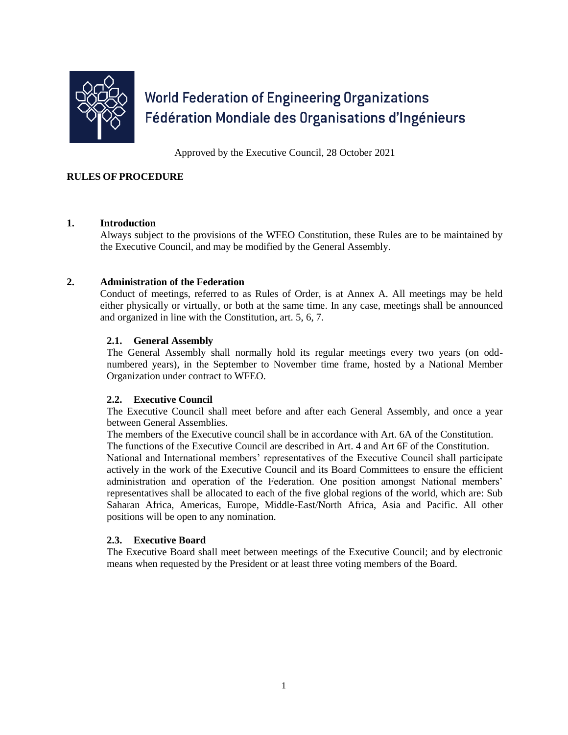

# **World Federation of Engineering Organizations** Fédération Mondiale des Organisations d'Ingénieurs

Approved by the Executive Council, 28 October 2021

# **RULES OF PROCEDURE**

# **1. Introduction**

Always subject to the provisions of the WFEO Constitution, these Rules are to be maintained by the Executive Council, and may be modified by the General Assembly.

# **2. Administration of the Federation**

Conduct of meetings, referred to as Rules of Order, is at Annex A. All meetings may be held either physically or virtually, or both at the same time. In any case, meetings shall be announced and organized in line with the Constitution, art. 5, 6, 7.

# **2.1. General Assembly**

The General Assembly shall normally hold its regular meetings every two years (on oddnumbered years), in the September to November time frame, hosted by a National Member Organization under contract to WFEO.

# **2.2. Executive Council**

The Executive Council shall meet before and after each General Assembly, and once a year between General Assemblies.

The members of the Executive council shall be in accordance with Art. 6A of the Constitution. The functions of the Executive Council are described in Art. 4 and Art 6F of the Constitution. National and International members' representatives of the Executive Council shall participate actively in the work of the Executive Council and its Board Committees to ensure the efficient administration and operation of the Federation. One position amongst National members' representatives shall be allocated to each of the five global regions of the world, which are: Sub Saharan Africa, Americas, Europe, Middle-East/North Africa, Asia and Pacific. All other positions will be open to any nomination.

# **2.3. Executive Board**

The Executive Board shall meet between meetings of the Executive Council; and by electronic means when requested by the President or at least three voting members of the Board.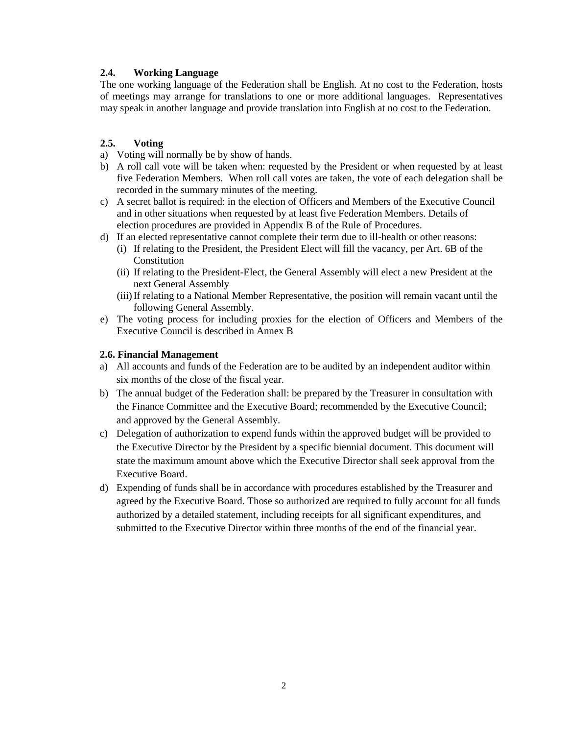# **2.4. Working Language**

The one working language of the Federation shall be English. At no cost to the Federation, hosts of meetings may arrange for translations to one or more additional languages. Representatives may speak in another language and provide translation into English at no cost to the Federation.

# **2.5. Voting**

- a) Voting will normally be by show of hands.
- b) A roll call vote will be taken when: requested by the President or when requested by at least five Federation Members. When roll call votes are taken, the vote of each delegation shall be recorded in the summary minutes of the meeting.
- c) A secret ballot is required: in the election of Officers and Members of the Executive Council and in other situations when requested by at least five Federation Members. Details of election procedures are provided in Appendix B of the Rule of Procedures.
- d) If an elected representative cannot complete their term due to ill-health or other reasons:
	- (i) If relating to the President, the President Elect will fill the vacancy, per Art. 6B of the Constitution
	- (ii) If relating to the President-Elect, the General Assembly will elect a new President at the next General Assembly
	- (iii)If relating to a National Member Representative, the position will remain vacant until the following General Assembly.
- e) The voting process for including proxies for the election of Officers and Members of the Executive Council is described in Annex B

# **2.6. Financial Management**

- a) All accounts and funds of the Federation are to be audited by an independent auditor within six months of the close of the fiscal year.
- b) The annual budget of the Federation shall: be prepared by the Treasurer in consultation with the Finance Committee and the Executive Board; recommended by the Executive Council; and approved by the General Assembly.
- c) Delegation of authorization to expend funds within the approved budget will be provided to the Executive Director by the President by a specific biennial document. This document will state the maximum amount above which the Executive Director shall seek approval from the Executive Board.
- d) Expending of funds shall be in accordance with procedures established by the Treasurer and agreed by the Executive Board. Those so authorized are required to fully account for all funds authorized by a detailed statement, including receipts for all significant expenditures, and submitted to the Executive Director within three months of the end of the financial year.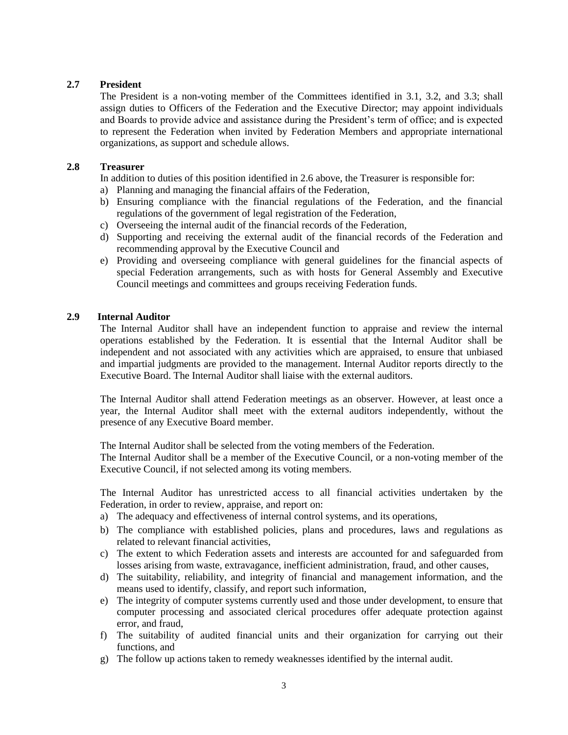# **2.7 President**

The President is a non-voting member of the Committees identified in 3.1, 3.2, and 3.3; shall assign duties to Officers of the Federation and the Executive Director; may appoint individuals and Boards to provide advice and assistance during the President's term of office; and is expected to represent the Federation when invited by Federation Members and appropriate international organizations, as support and schedule allows.

#### **2.8 Treasurer**

In addition to duties of this position identified in 2.6 above, the Treasurer is responsible for:

- a) Planning and managing the financial affairs of the Federation,
- b) Ensuring compliance with the financial regulations of the Federation, and the financial regulations of the government of legal registration of the Federation,
- c) Overseeing the internal audit of the financial records of the Federation,
- d) Supporting and receiving the external audit of the financial records of the Federation and recommending approval by the Executive Council and
- e) Providing and overseeing compliance with general guidelines for the financial aspects of special Federation arrangements, such as with hosts for General Assembly and Executive Council meetings and committees and groups receiving Federation funds.

#### **2.9 Internal Auditor**

The Internal Auditor shall have an independent function to appraise and review the internal operations established by the Federation. It is essential that the Internal Auditor shall be independent and not associated with any activities which are appraised, to ensure that unbiased and impartial judgments are provided to the management. Internal Auditor reports directly to the Executive Board. The Internal Auditor shall liaise with the external auditors.

The Internal Auditor shall attend Federation meetings as an observer. However, at least once a year, the Internal Auditor shall meet with the external auditors independently, without the presence of any Executive Board member.

The Internal Auditor shall be selected from the voting members of the Federation.

The Internal Auditor shall be a member of the Executive Council, or a non-voting member of the Executive Council, if not selected among its voting members.

The Internal Auditor has unrestricted access to all financial activities undertaken by the Federation, in order to review, appraise, and report on:

- a) The adequacy and effectiveness of internal control systems, and its operations,
- b) The compliance with established policies, plans and procedures, laws and regulations as related to relevant financial activities,
- c) The extent to which Federation assets and interests are accounted for and safeguarded from losses arising from waste, extravagance, inefficient administration, fraud, and other causes,
- d) The suitability, reliability, and integrity of financial and management information, and the means used to identify, classify, and report such information,
- e) The integrity of computer systems currently used and those under development, to ensure that computer processing and associated clerical procedures offer adequate protection against error, and fraud,
- f) The suitability of audited financial units and their organization for carrying out their functions, and
- g) The follow up actions taken to remedy weaknesses identified by the internal audit.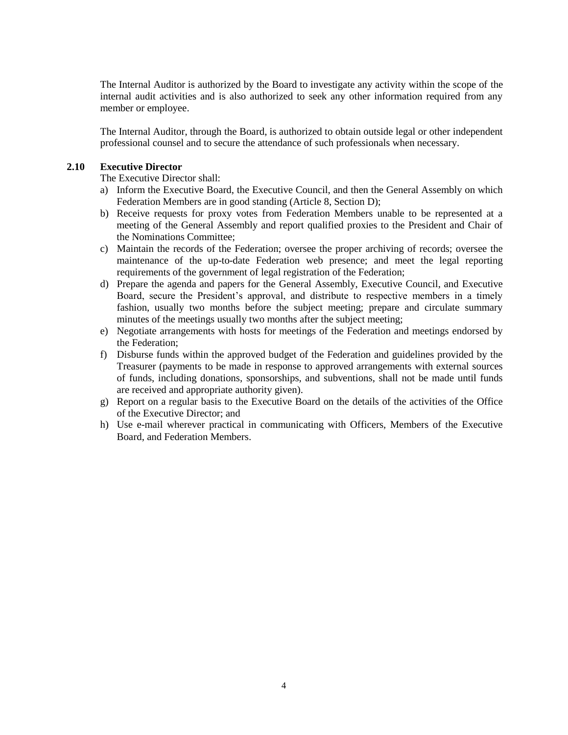The Internal Auditor is authorized by the Board to investigate any activity within the scope of the internal audit activities and is also authorized to seek any other information required from any member or employee.

The Internal Auditor, through the Board, is authorized to obtain outside legal or other independent professional counsel and to secure the attendance of such professionals when necessary.

#### **2.10 Executive Director**

The Executive Director shall:

- a) Inform the Executive Board, the Executive Council, and then the General Assembly on which Federation Members are in good standing (Article 8, Section D);
- b) Receive requests for proxy votes from Federation Members unable to be represented at a meeting of the General Assembly and report qualified proxies to the President and Chair of the Nominations Committee;
- c) Maintain the records of the Federation; oversee the proper archiving of records; oversee the maintenance of the up-to-date Federation web presence; and meet the legal reporting requirements of the government of legal registration of the Federation;
- d) Prepare the agenda and papers for the General Assembly, Executive Council, and Executive Board, secure the President's approval, and distribute to respective members in a timely fashion, usually two months before the subject meeting; prepare and circulate summary minutes of the meetings usually two months after the subject meeting;
- e) Negotiate arrangements with hosts for meetings of the Federation and meetings endorsed by the Federation;
- f) Disburse funds within the approved budget of the Federation and guidelines provided by the Treasurer (payments to be made in response to approved arrangements with external sources of funds, including donations, sponsorships, and subventions, shall not be made until funds are received and appropriate authority given).
- g) Report on a regular basis to the Executive Board on the details of the activities of the Office of the Executive Director; and
- h) Use e-mail wherever practical in communicating with Officers, Members of the Executive Board, and Federation Members.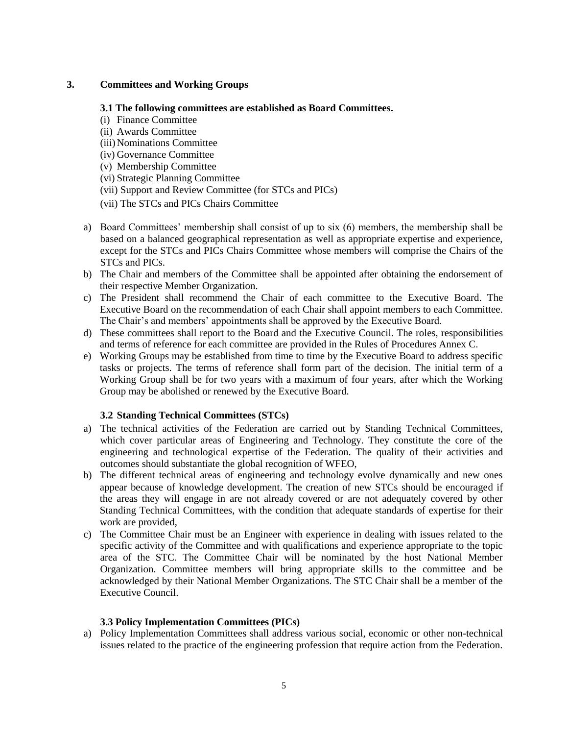# **3. Committees and Working Groups**

# **3.1 The following committees are established as Board Committees.**

- (i) Finance Committee
- (ii) Awards Committee
- (iii)Nominations Committee
- (iv) Governance Committee
- (v) Membership Committee
- (vi) Strategic Planning Committee
- (vii) Support and Review Committee (for STCs and PICs)
- (vii) The STCs and PICs Chairs Committee
- a) Board Committees' membership shall consist of up to six (6) members, the membership shall be based on a balanced geographical representation as well as appropriate expertise and experience, except for the STCs and PICs Chairs Committee whose members will comprise the Chairs of the STCs and PICs.
- b) The Chair and members of the Committee shall be appointed after obtaining the endorsement of their respective Member Organization.
- c) The President shall recommend the Chair of each committee to the Executive Board. The Executive Board on the recommendation of each Chair shall appoint members to each Committee. The Chair's and members' appointments shall be approved by the Executive Board.
- d) These committees shall report to the Board and the Executive Council. The roles, responsibilities and terms of reference for each committee are provided in the Rules of Procedures Annex C.
- e) Working Groups may be established from time to time by the Executive Board to address specific tasks or projects. The terms of reference shall form part of the decision. The initial term of a Working Group shall be for two years with a maximum of four years, after which the Working Group may be abolished or renewed by the Executive Board.

# **3.2 Standing Technical Committees (STCs)**

- a) The technical activities of the Federation are carried out by Standing Technical Committees, which cover particular areas of Engineering and Technology. They constitute the core of the engineering and technological expertise of the Federation. The quality of their activities and outcomes should substantiate the global recognition of WFEO,
- b) The different technical areas of engineering and technology evolve dynamically and new ones appear because of knowledge development. The creation of new STCs should be encouraged if the areas they will engage in are not already covered or are not adequately covered by other Standing Technical Committees, with the condition that adequate standards of expertise for their work are provided,
- c) The Committee Chair must be an Engineer with experience in dealing with issues related to the specific activity of the Committee and with qualifications and experience appropriate to the topic area of the STC. The Committee Chair will be nominated by the host National Member Organization. Committee members will bring appropriate skills to the committee and be acknowledged by their National Member Organizations. The STC Chair shall be a member of the Executive Council.

# **3.3 Policy Implementation Committees (PICs)**

a) Policy Implementation Committees shall address various social, economic or other non-technical issues related to the practice of the engineering profession that require action from the Federation.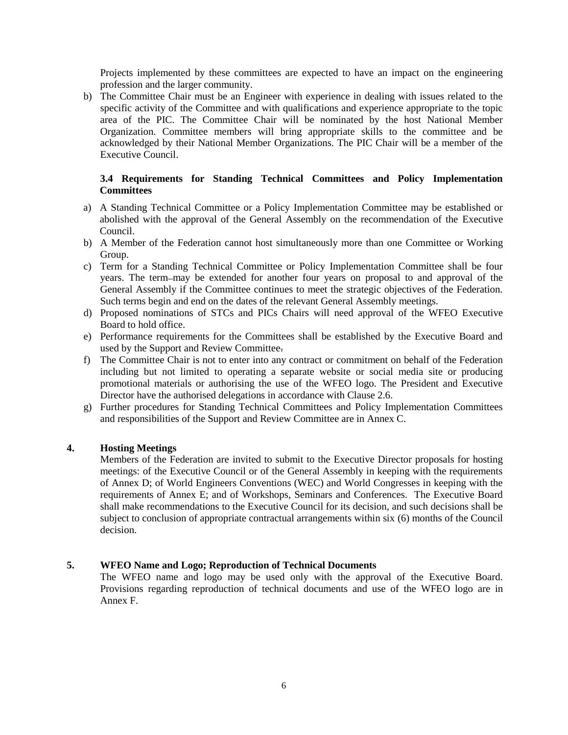Projects implemented by these committees are expected to have an impact on the engineering profession and the larger community.

b) The Committee Chair must be an Engineer with experience in dealing with issues related to the specific activity of the Committee and with qualifications and experience appropriate to the topic area of the PIC. The Committee Chair will be nominated by the host National Member Organization. Committee members will bring appropriate skills to the committee and be acknowledged by their National Member Organizations. The PIC Chair will be a member of the Executive Council.

# **3.4 Requirements for Standing Technical Committees and Policy Implementation Committees**

- a) A Standing Technical Committee or a Policy Implementation Committee may be established or abolished with the approval of the General Assembly on the recommendation of the Executive Council.
- b) A Member of the Federation cannot host simultaneously more than one Committee or Working Group.
- c) Term for a Standing Technical Committee or Policy Implementation Committee shall be four years. The term-may be extended for another four years on proposal to and approval of the General Assembly if the Committee continues to meet the strategic objectives of the Federation. Such terms begin and end on the dates of the relevant General Assembly meetings.
- d) Proposed nominations of STCs and PICs Chairs will need approval of the WFEO Executive Board to hold office.
- e) Performance requirements for the Committees shall be established by the Executive Board and used by the Support and Review Committee.
- f) The Committee Chair is not to enter into any contract or commitment on behalf of the Federation including but not limited to operating a separate website or social media site or producing promotional materials or authorising the use of the WFEO logo. The President and Executive Director have the authorised delegations in accordance with Clause 2.6.
- g) Further procedures for Standing Technical Committees and Policy Implementation Committees and responsibilities of the Support and Review Committee are in Annex C.

# **4. Hosting Meetings**

Members of the Federation are invited to submit to the Executive Director proposals for hosting meetings: of the Executive Council or of the General Assembly in keeping with the requirements of Annex D; of World Engineers Conventions (WEC) and World Congresses in keeping with the requirements of Annex E; and of Workshops, Seminars and Conferences. The Executive Board shall make recommendations to the Executive Council for its decision, and such decisions shall be subject to conclusion of appropriate contractual arrangements within six (6) months of the Council decision.

# **5. WFEO Name and Logo; Reproduction of Technical Documents**

The WFEO name and logo may be used only with the approval of the Executive Board. Provisions regarding reproduction of technical documents and use of the WFEO logo are in Annex F.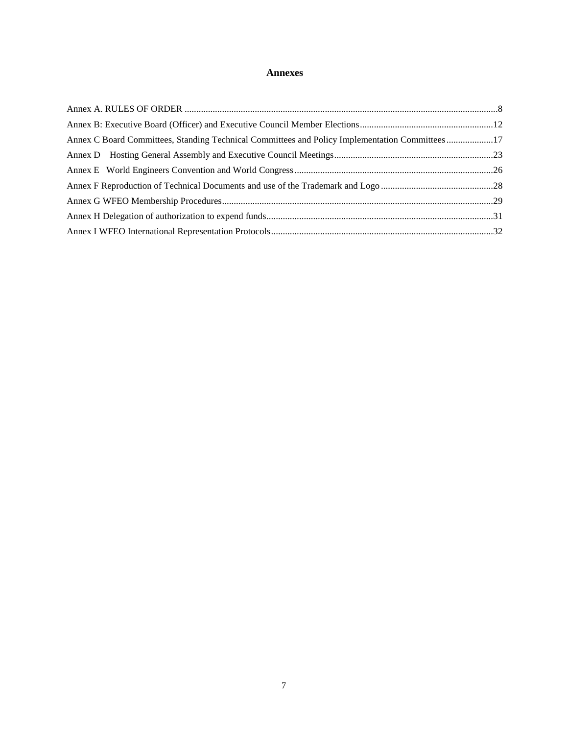#### **Annexes**

| Annex C Board Committees, Standing Technical Committees and Policy Implementation Committees17 |  |  |  |
|------------------------------------------------------------------------------------------------|--|--|--|
|                                                                                                |  |  |  |
|                                                                                                |  |  |  |
|                                                                                                |  |  |  |
|                                                                                                |  |  |  |
|                                                                                                |  |  |  |
|                                                                                                |  |  |  |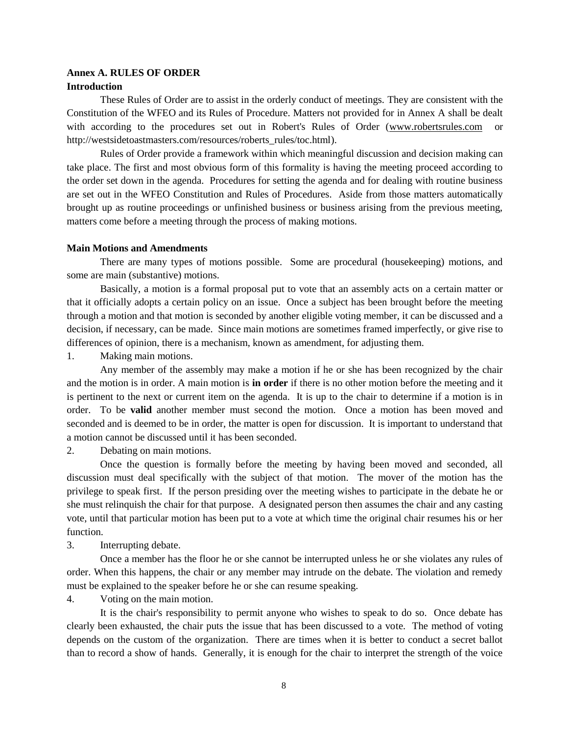#### <span id="page-7-0"></span>**Annex A. RULES OF ORDER Introduction**

These Rules of Order are to assist in the orderly conduct of meetings. They are consistent with the Constitution of the WFEO and its Rules of Procedure. Matters not provided for in Annex A shall be dealt with according to the procedures set out in Robert's Rules of Order [\(www.robertsrules.com](http://www.robertsrules.com/) or [http://westsidetoastmasters.com/resources/roberts\\_rules/toc.html\)](http://westsidetoastmasters.com/resources/roberts_rules/toc.html).

Rules of Order provide a framework within which meaningful discussion and decision making can take place. The first and most obvious form of this formality is having the meeting proceed according to the order set down in the agenda. Procedures for setting the agenda and for dealing with routine business are set out in the WFEO Constitution and Rules of Procedures. Aside from those matters automatically brought up as routine proceedings or unfinished business or business arising from the previous meeting, matters come before a meeting through the process of making motions.

#### **Main Motions and Amendments**

There are many types of motions possible. Some are procedural (housekeeping) motions, and some are main (substantive) motions.

Basically, a motion is a formal proposal put to vote that an assembly acts on a certain matter or that it officially adopts a certain policy on an issue. Once a subject has been brought before the meeting through a motion and that motion is seconded by another eligible voting member, it can be discussed and a decision, if necessary, can be made. Since main motions are sometimes framed imperfectly, or give rise to differences of opinion, there is a mechanism, known as amendment, for adjusting them.

1. Making main motions.

Any member of the assembly may make a motion if he or she has been recognized by the chair and the motion is in order. A main motion is **in order** if there is no other motion before the meeting and it is pertinent to the next or current item on the agenda. It is up to the chair to determine if a motion is in order. To be **valid** another member must second the motion. Once a motion has been moved and seconded and is deemed to be in order, the matter is open for discussion. It is important to understand that a motion cannot be discussed until it has been seconded.

2. Debating on main motions.

Once the question is formally before the meeting by having been moved and seconded, all discussion must deal specifically with the subject of that motion. The mover of the motion has the privilege to speak first. If the person presiding over the meeting wishes to participate in the debate he or she must relinquish the chair for that purpose. A designated person then assumes the chair and any casting vote, until that particular motion has been put to a vote at which time the original chair resumes his or her function.

3. Interrupting debate.

Once a member has the floor he or she cannot be interrupted unless he or she violates any rules of order. When this happens, the chair or any member may intrude on the debate. The violation and remedy must be explained to the speaker before he or she can resume speaking.

4. Voting on the main motion.

It is the chair's responsibility to permit anyone who wishes to speak to do so. Once debate has clearly been exhausted, the chair puts the issue that has been discussed to a vote. The method of voting depends on the custom of the organization. There are times when it is better to conduct a secret ballot than to record a show of hands. Generally, it is enough for the chair to interpret the strength of the voice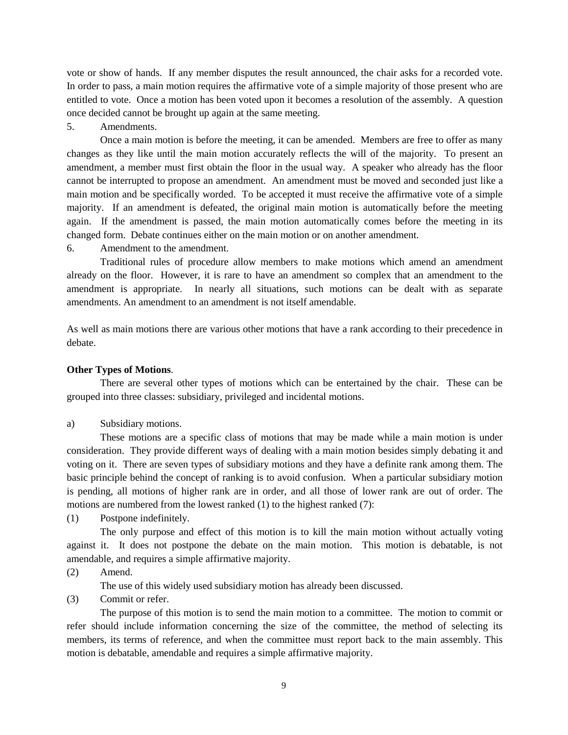vote or show of hands. If any member disputes the result announced, the chair asks for a recorded vote. In order to pass, a main motion requires the affirmative vote of a simple majority of those present who are entitled to vote. Once a motion has been voted upon it becomes a resolution of the assembly. A question once decided cannot be brought up again at the same meeting.

#### 5. Amendments.

Once a main motion is before the meeting, it can be amended. Members are free to offer as many changes as they like until the main motion accurately reflects the will of the majority. To present an amendment, a member must first obtain the floor in the usual way. A speaker who already has the floor cannot be interrupted to propose an amendment. An amendment must be moved and seconded just like a main motion and be specifically worded. To be accepted it must receive the affirmative vote of a simple majority. If an amendment is defeated, the original main motion is automatically before the meeting again. If the amendment is passed, the main motion automatically comes before the meeting in its changed form. Debate continues either on the main motion or on another amendment.

6. Amendment to the amendment.

Traditional rules of procedure allow members to make motions which amend an amendment already on the floor. However, it is rare to have an amendment so complex that an amendment to the amendment is appropriate. In nearly all situations, such motions can be dealt with as separate amendments. An amendment to an amendment is not itself amendable.

As well as main motions there are various other motions that have a rank according to their precedence in debate.

#### **Other Types of Motions**.

There are several other types of motions which can be entertained by the chair. These can be grouped into three classes: subsidiary, privileged and incidental motions.

a) Subsidiary motions.

These motions are a specific class of motions that may be made while a main motion is under consideration. They provide different ways of dealing with a main motion besides simply debating it and voting on it. There are seven types of subsidiary motions and they have a definite rank among them. The basic principle behind the concept of ranking is to avoid confusion. When a particular subsidiary motion is pending, all motions of higher rank are in order, and all those of lower rank are out of order. The motions are numbered from the lowest ranked (1) to the highest ranked (7):

(1) Postpone indefinitely.

The only purpose and effect of this motion is to kill the main motion without actually voting against it. It does not postpone the debate on the main motion. This motion is debatable, is not amendable, and requires a simple affirmative majority.

(2) Amend.

The use of this widely used subsidiary motion has already been discussed.

(3) Commit or refer.

The purpose of this motion is to send the main motion to a committee. The motion to commit or refer should include information concerning the size of the committee, the method of selecting its members, its terms of reference, and when the committee must report back to the main assembly. This motion is debatable, amendable and requires a simple affirmative majority.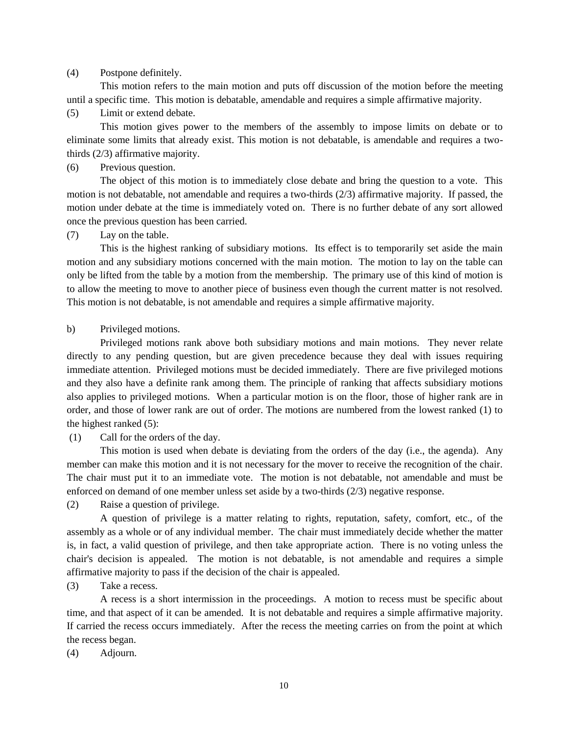#### (4) Postpone definitely.

This motion refers to the main motion and puts off discussion of the motion before the meeting until a specific time. This motion is debatable, amendable and requires a simple affirmative majority.

(5) Limit or extend debate.

This motion gives power to the members of the assembly to impose limits on debate or to eliminate some limits that already exist. This motion is not debatable, is amendable and requires a twothirds (2/3) affirmative majority.

# (6) Previous question.

The object of this motion is to immediately close debate and bring the question to a vote. This motion is not debatable, not amendable and requires a two-thirds (2/3) affirmative majority. If passed, the motion under debate at the time is immediately voted on. There is no further debate of any sort allowed once the previous question has been carried.

(7) Lay on the table.

This is the highest ranking of subsidiary motions. Its effect is to temporarily set aside the main motion and any subsidiary motions concerned with the main motion. The motion to lay on the table can only be lifted from the table by a motion from the membership. The primary use of this kind of motion is to allow the meeting to move to another piece of business even though the current matter is not resolved. This motion is not debatable, is not amendable and requires a simple affirmative majority.

#### b) Privileged motions.

Privileged motions rank above both subsidiary motions and main motions. They never relate directly to any pending question, but are given precedence because they deal with issues requiring immediate attention. Privileged motions must be decided immediately. There are five privileged motions and they also have a definite rank among them. The principle of ranking that affects subsidiary motions also applies to privileged motions. When a particular motion is on the floor, those of higher rank are in order, and those of lower rank are out of order. The motions are numbered from the lowest ranked (1) to the highest ranked (5):

(1) Call for the orders of the day.

This motion is used when debate is deviating from the orders of the day (i.e., the agenda). Any member can make this motion and it is not necessary for the mover to receive the recognition of the chair. The chair must put it to an immediate vote. The motion is not debatable, not amendable and must be enforced on demand of one member unless set aside by a two-thirds (2/3) negative response.

(2) Raise a question of privilege.

A question of privilege is a matter relating to rights, reputation, safety, comfort, etc., of the assembly as a whole or of any individual member. The chair must immediately decide whether the matter is, in fact, a valid question of privilege, and then take appropriate action. There is no voting unless the chair's decision is appealed. The motion is not debatable, is not amendable and requires a simple affirmative majority to pass if the decision of the chair is appealed.

(3) Take a recess.

A recess is a short intermission in the proceedings. A motion to recess must be specific about time, and that aspect of it can be amended. It is not debatable and requires a simple affirmative majority. If carried the recess occurs immediately. After the recess the meeting carries on from the point at which the recess began.

(4) Adjourn.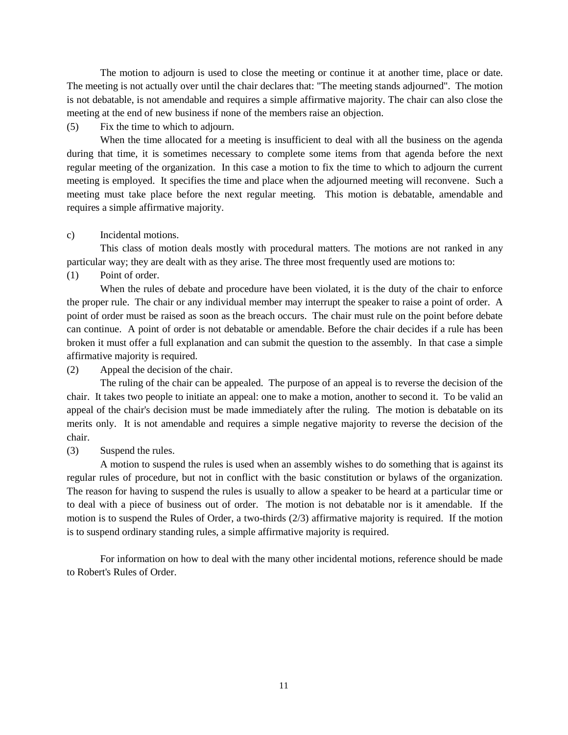The motion to adjourn is used to close the meeting or continue it at another time, place or date. The meeting is not actually over until the chair declares that: "The meeting stands adjourned". The motion is not debatable, is not amendable and requires a simple affirmative majority. The chair can also close the meeting at the end of new business if none of the members raise an objection.

(5) Fix the time to which to adjourn.

When the time allocated for a meeting is insufficient to deal with all the business on the agenda during that time, it is sometimes necessary to complete some items from that agenda before the next regular meeting of the organization. In this case a motion to fix the time to which to adjourn the current meeting is employed. It specifies the time and place when the adjourned meeting will reconvene. Such a meeting must take place before the next regular meeting. This motion is debatable, amendable and requires a simple affirmative majority.

c) Incidental motions.

This class of motion deals mostly with procedural matters. The motions are not ranked in any particular way; they are dealt with as they arise. The three most frequently used are motions to:

(1) Point of order.

When the rules of debate and procedure have been violated, it is the duty of the chair to enforce the proper rule. The chair or any individual member may interrupt the speaker to raise a point of order. A point of order must be raised as soon as the breach occurs. The chair must rule on the point before debate can continue. A point of order is not debatable or amendable. Before the chair decides if a rule has been broken it must offer a full explanation and can submit the question to the assembly. In that case a simple affirmative majority is required.

(2) Appeal the decision of the chair.

The ruling of the chair can be appealed. The purpose of an appeal is to reverse the decision of the chair. It takes two people to initiate an appeal: one to make a motion, another to second it. To be valid an appeal of the chair's decision must be made immediately after the ruling. The motion is debatable on its merits only. It is not amendable and requires a simple negative majority to reverse the decision of the chair.

(3) Suspend the rules.

A motion to suspend the rules is used when an assembly wishes to do something that is against its regular rules of procedure, but not in conflict with the basic constitution or bylaws of the organization. The reason for having to suspend the rules is usually to allow a speaker to be heard at a particular time or to deal with a piece of business out of order. The motion is not debatable nor is it amendable. If the motion is to suspend the Rules of Order, a two-thirds (2/3) affirmative majority is required. If the motion is to suspend ordinary standing rules, a simple affirmative majority is required.

For information on how to deal with the many other incidental motions, reference should be made to Robert's Rules of Order.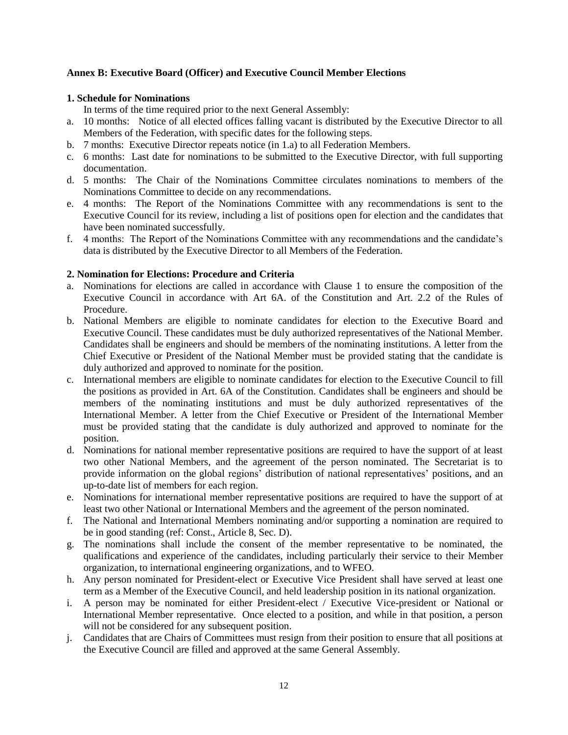# <span id="page-11-0"></span>**Annex B: Executive Board (Officer) and Executive Council Member Elections**

# **1. Schedule for Nominations**

In terms of the time required prior to the next General Assembly:

- a. 10 months: Notice of all elected offices falling vacant is distributed by the Executive Director to all Members of the Federation, with specific dates for the following steps.
- b. 7 months: Executive Director repeats notice (in 1.a) to all Federation Members.
- c. 6 months: Last date for nominations to be submitted to the Executive Director, with full supporting documentation.
- d. 5 months: The Chair of the Nominations Committee circulates nominations to members of the Nominations Committee to decide on any recommendations.
- e. 4 months: The Report of the Nominations Committee with any recommendations is sent to the Executive Council for its review, including a list of positions open for election and the candidates that have been nominated successfully.
- f. 4 months: The Report of the Nominations Committee with any recommendations and the candidate's data is distributed by the Executive Director to all Members of the Federation.

# **2. Nomination for Elections: Procedure and Criteria**

- a. Nominations for elections are called in accordance with Clause 1 to ensure the composition of the Executive Council in accordance with Art 6A. of the Constitution and Art. 2.2 of the Rules of Procedure.
- b. National Members are eligible to nominate candidates for election to the Executive Board and Executive Council. These candidates must be duly authorized representatives of the National Member. Candidates shall be engineers and should be members of the nominating institutions. A letter from the Chief Executive or President of the National Member must be provided stating that the candidate is duly authorized and approved to nominate for the position.
- c. International members are eligible to nominate candidates for election to the Executive Council to fill the positions as provided in Art. 6A of the Constitution. Candidates shall be engineers and should be members of the nominating institutions and must be duly authorized representatives of the International Member. A letter from the Chief Executive or President of the International Member must be provided stating that the candidate is duly authorized and approved to nominate for the position.
- d. Nominations for national member representative positions are required to have the support of at least two other National Members, and the agreement of the person nominated. The Secretariat is to provide information on the global regions' distribution of national representatives' positions, and an up-to-date list of members for each region.
- e. Nominations for international member representative positions are required to have the support of at least two other National or International Members and the agreement of the person nominated.
- f. The National and International Members nominating and/or supporting a nomination are required to be in good standing (ref: Const., Article 8, Sec. D).
- g. The nominations shall include the consent of the member representative to be nominated, the qualifications and experience of the candidates, including particularly their service to their Member organization, to international engineering organizations, and to WFEO.
- h. Any person nominated for President-elect or Executive Vice President shall have served at least one term as a Member of the Executive Council, and held leadership position in its national organization.
- i. A person may be nominated for either President-elect / Executive Vice-president or National or International Member representative. Once elected to a position, and while in that position, a person will not be considered for any subsequent position.
- j. Candidates that are Chairs of Committees must resign from their position to ensure that all positions at the Executive Council are filled and approved at the same General Assembly.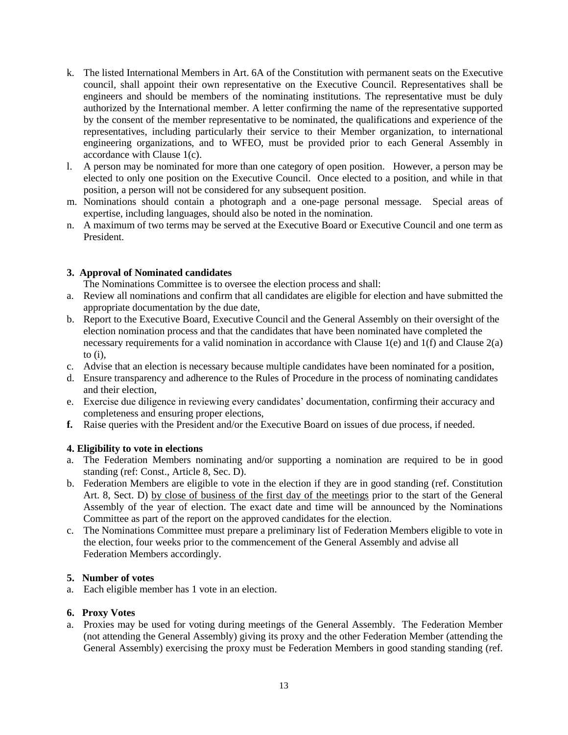- k. The listed International Members in Art. 6A of the Constitution with permanent seats on the Executive council, shall appoint their own representative on the Executive Council. Representatives shall be engineers and should be members of the nominating institutions. The representative must be duly authorized by the International member. A letter confirming the name of the representative supported by the consent of the member representative to be nominated, the qualifications and experience of the representatives, including particularly their service to their Member organization, to international engineering organizations, and to WFEO, must be provided prior to each General Assembly in accordance with Clause 1(c).
- l. A person may be nominated for more than one category of open position. However, a person may be elected to only one position on the Executive Council. Once elected to a position, and while in that position, a person will not be considered for any subsequent position.
- m. Nominations should contain a photograph and a one-page personal message. Special areas of expertise, including languages, should also be noted in the nomination.
- n. A maximum of two terms may be served at the Executive Board or Executive Council and one term as President.

# **3. Approval of Nominated candidates**

The Nominations Committee is to oversee the election process and shall:

- a. Review all nominations and confirm that all candidates are eligible for election and have submitted the appropriate documentation by the due date,
- b. Report to the Executive Board, Executive Council and the General Assembly on their oversight of the election nomination process and that the candidates that have been nominated have completed the necessary requirements for a valid nomination in accordance with Clause 1(e) and 1(f) and Clause 2(a) to  $(i)$ ,
- c. Advise that an election is necessary because multiple candidates have been nominated for a position,
- d. Ensure transparency and adherence to the Rules of Procedure in the process of nominating candidates and their election,
- e. Exercise due diligence in reviewing every candidates' documentation, confirming their accuracy and completeness and ensuring proper elections,
- **f.** Raise queries with the President and/or the Executive Board on issues of due process, if needed.

# **4. Eligibility to vote in elections**

- a. The Federation Members nominating and/or supporting a nomination are required to be in good standing (ref: Const., Article 8, Sec. D).
- b. Federation Members are eligible to vote in the election if they are in good standing (ref. Constitution Art. 8, Sect. D) by close of business of the first day of the meetings prior to the start of the General Assembly of the year of election. The exact date and time will be announced by the Nominations Committee as part of the report on the approved candidates for the election.
- c. The Nominations Committee must prepare a preliminary list of Federation Members eligible to vote in the election, four weeks prior to the commencement of the General Assembly and advise all Federation Members accordingly.

# **5. Number of votes**

a. Each eligible member has 1 vote in an election.

# **6. Proxy Votes**

a. Proxies may be used for voting during meetings of the General Assembly. The Federation Member (not attending the General Assembly) giving its proxy and the other Federation Member (attending the General Assembly) exercising the proxy must be Federation Members in good standing standing (ref.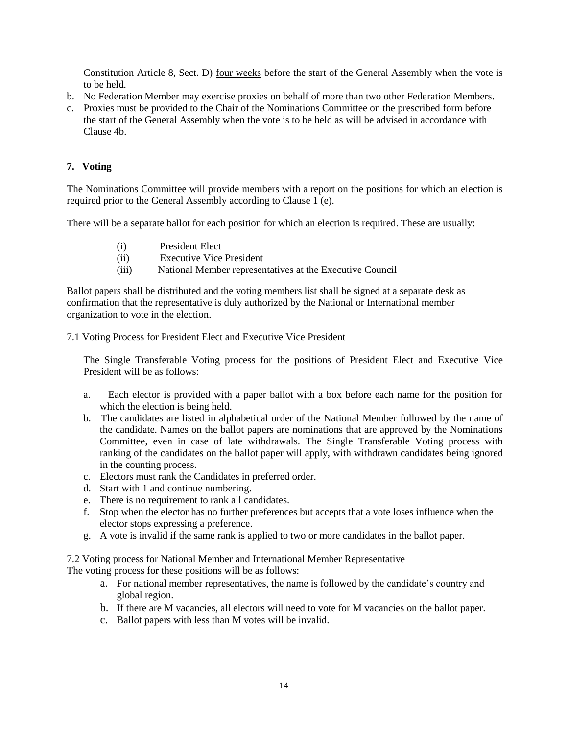Constitution Article 8, Sect. D) four weeks before the start of the General Assembly when the vote is to be held.

- b. No Federation Member may exercise proxies on behalf of more than two other Federation Members.
- c. Proxies must be provided to the Chair of the Nominations Committee on the prescribed form before the start of the General Assembly when the vote is to be held as will be advised in accordance with Clause 4b.

# **7. Voting**

The Nominations Committee will provide members with a report on the positions for which an election is required prior to the General Assembly according to Clause 1 (e).

There will be a separate ballot for each position for which an election is required. These are usually:

- (i) President Elect
- (ii) Executive Vice President
- (iii) National Member representatives at the Executive Council

Ballot papers shall be distributed and the voting members list shall be signed at a separate desk as confirmation that the representative is duly authorized by the National or International member organization to vote in the election.

7.1 Voting Process for President Elect and Executive Vice President

The Single Transferable Voting process for the positions of President Elect and Executive Vice President will be as follows:

- a. Each elector is provided with a paper ballot with a box before each name for the position for which the election is being held.
- b. The candidates are listed in alphabetical order of the National Member followed by the name of the candidate. Names on the ballot papers are nominations that are approved by the Nominations Committee, even in case of late withdrawals. The Single Transferable Voting process with ranking of the candidates on the ballot paper will apply, with withdrawn candidates being ignored in the counting process.
- c. Electors must rank the Candidates in preferred order.
- d. Start with 1 and continue numbering.
- e. There is no requirement to rank all candidates.
- f. Stop when the elector has no further preferences but accepts that a vote loses influence when the elector stops expressing a preference.
- g. A vote is invalid if the same rank is applied to two or more candidates in the ballot paper.

7.2 Voting process for National Member and International Member Representative The voting process for these positions will be as follows:

- a. For national member representatives, the name is followed by the candidate's country and global region.
- b. If there are M vacancies, all electors will need to vote for M vacancies on the ballot paper.
- c. Ballot papers with less than M votes will be invalid.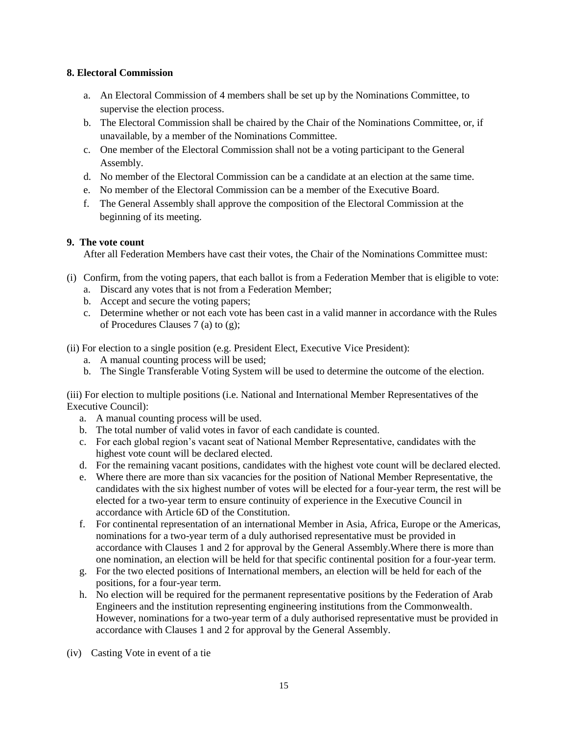# **8. Electoral Commission**

- a. An Electoral Commission of 4 members shall be set up by the Nominations Committee, to supervise the election process.
- b. The Electoral Commission shall be chaired by the Chair of the Nominations Committee, or, if unavailable, by a member of the Nominations Committee.
- c. One member of the Electoral Commission shall not be a voting participant to the General Assembly.
- d. No member of the Electoral Commission can be a candidate at an election at the same time.
- e. No member of the Electoral Commission can be a member of the Executive Board.
- f. The General Assembly shall approve the composition of the Electoral Commission at the beginning of its meeting.

# **9. The vote count**

After all Federation Members have cast their votes, the Chair of the Nominations Committee must:

- (i) Confirm, from the voting papers, that each ballot is from a Federation Member that is eligible to vote:
	- a. Discard any votes that is not from a Federation Member;
	- b. Accept and secure the voting papers;
	- c. Determine whether or not each vote has been cast in a valid manner in accordance with the Rules of Procedures Clauses 7 (a) to (g);

(ii) For election to a single position (e.g. President Elect, Executive Vice President):

- a. A manual counting process will be used;
- b. The Single Transferable Voting System will be used to determine the outcome of the election.

(iii) For election to multiple positions (i.e. National and International Member Representatives of the Executive Council):

- a. A manual counting process will be used.
- b. The total number of valid votes in favor of each candidate is counted.
- c. For each global region's vacant seat of National Member Representative, candidates with the highest vote count will be declared elected.
- d. For the remaining vacant positions, candidates with the highest vote count will be declared elected.
- e. Where there are more than six vacancies for the position of National Member Representative, the candidates with the six highest number of votes will be elected for a four-year term, the rest will be elected for a two-year term to ensure continuity of experience in the Executive Council in accordance with Article 6D of the Constitution.
- f. For continental representation of an international Member in Asia, Africa, Europe or the Americas, nominations for a two-year term of a duly authorised representative must be provided in accordance with Clauses 1 and 2 for approval by the General Assembly.Where there is more than one nomination, an election will be held for that specific continental position for a four-year term.
- g. For the two elected positions of International members, an election will be held for each of the positions, for a four-year term.
- h. No election will be required for the permanent representative positions by the Federation of Arab Engineers and the institution representing engineering institutions from the Commonwealth. However, nominations for a two-year term of a duly authorised representative must be provided in accordance with Clauses 1 and 2 for approval by the General Assembly.
- (iv) Casting Vote in event of a tie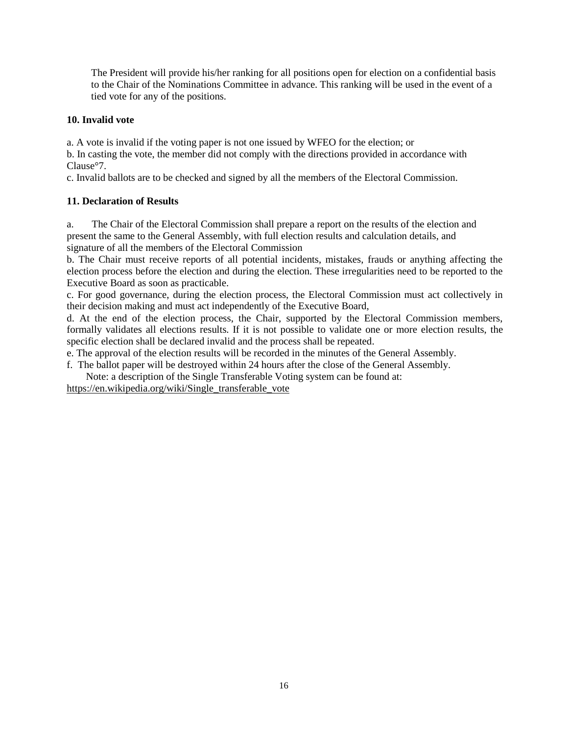The President will provide his/her ranking for all positions open for election on a confidential basis to the Chair of the Nominations Committee in advance. This ranking will be used in the event of a tied vote for any of the positions.

# **10. Invalid vote**

a. A vote is invalid if the voting paper is not one issued by WFEO for the election; or

b. In casting the vote, the member did not comply with the directions provided in accordance with Clause°7.

c. Invalid ballots are to be checked and signed by all the members of the Electoral Commission.

# **11. Declaration of Results**

a. The Chair of the Electoral Commission shall prepare a report on the results of the election and present the same to the General Assembly, with full election results and calculation details, and signature of all the members of the Electoral Commission

b. The Chair must receive reports of all potential incidents, mistakes, frauds or anything affecting the election process before the election and during the election. These irregularities need to be reported to the Executive Board as soon as practicable.

c. For good governance, during the election process, the Electoral Commission must act collectively in their decision making and must act independently of the Executive Board,

d. At the end of the election process, the Chair, supported by the Electoral Commission members, formally validates all elections results. If it is not possible to validate one or more election results, the specific election shall be declared invalid and the process shall be repeated.

e. The approval of the election results will be recorded in the minutes of the General Assembly.

f. The ballot paper will be destroyed within 24 hours after the close of the General Assembly.

Note: a description of the Single Transferable Voting system can be found at:

[https://en.wikipedia.org/wiki/Single\\_transferable\\_vote](https://en.wikipedia.org/wiki/Single_transferable_vote)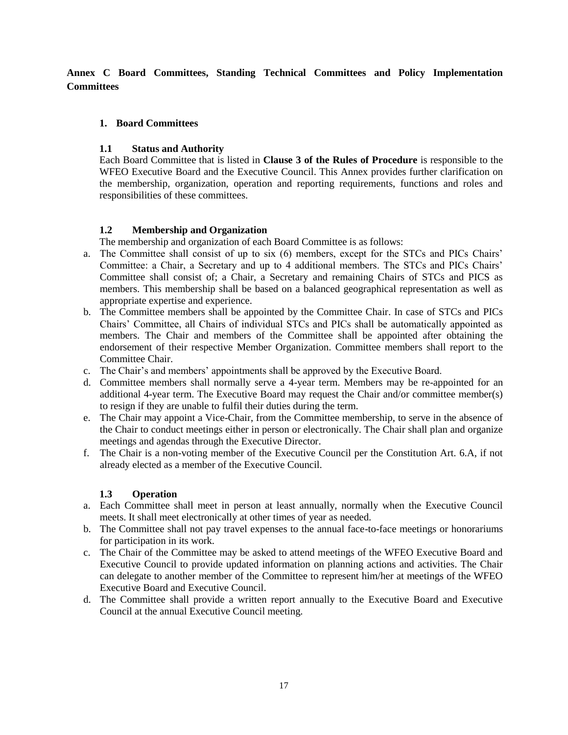<span id="page-16-0"></span>**Annex C Board Committees, Standing Technical Committees and Policy Implementation Committees**

# **1. Board Committees**

# **1.1 Status and Authority**

Each Board Committee that is listed in **Clause 3 of the Rules of Procedure** is responsible to the WFEO Executive Board and the Executive Council. This Annex provides further clarification on the membership, organization, operation and reporting requirements, functions and roles and responsibilities of these committees.

# **1.2 Membership and Organization**

The membership and organization of each Board Committee is as follows:

- a. The Committee shall consist of up to six (6) members, except for the STCs and PICs Chairs' Committee: a Chair, a Secretary and up to 4 additional members. The STCs and PICs Chairs' Committee shall consist of; a Chair, a Secretary and remaining Chairs of STCs and PICS as members. This membership shall be based on a balanced geographical representation as well as appropriate expertise and experience.
- b. The Committee members shall be appointed by the Committee Chair. In case of STCs and PICs Chairs' Committee, all Chairs of individual STCs and PICs shall be automatically appointed as members. The Chair and members of the Committee shall be appointed after obtaining the endorsement of their respective Member Organization. Committee members shall report to the Committee Chair.
- c. The Chair's and members' appointments shall be approved by the Executive Board.
- d. Committee members shall normally serve a 4-year term. Members may be re-appointed for an additional 4-year term. The Executive Board may request the Chair and/or committee member(s) to resign if they are unable to fulfil their duties during the term.
- e. The Chair may appoint a Vice-Chair, from the Committee membership, to serve in the absence of the Chair to conduct meetings either in person or electronically. The Chair shall plan and organize meetings and agendas through the Executive Director.
- f. The Chair is a non-voting member of the Executive Council per the Constitution Art. 6.A, if not already elected as a member of the Executive Council.

# **1.3 Operation**

- a. Each Committee shall meet in person at least annually, normally when the Executive Council meets. It shall meet electronically at other times of year as needed.
- b. The Committee shall not pay travel expenses to the annual face-to-face meetings or honorariums for participation in its work.
- c. The Chair of the Committee may be asked to attend meetings of the WFEO Executive Board and Executive Council to provide updated information on planning actions and activities. The Chair can delegate to another member of the Committee to represent him/her at meetings of the WFEO Executive Board and Executive Council.
- d. The Committee shall provide a written report annually to the Executive Board and Executive Council at the annual Executive Council meeting.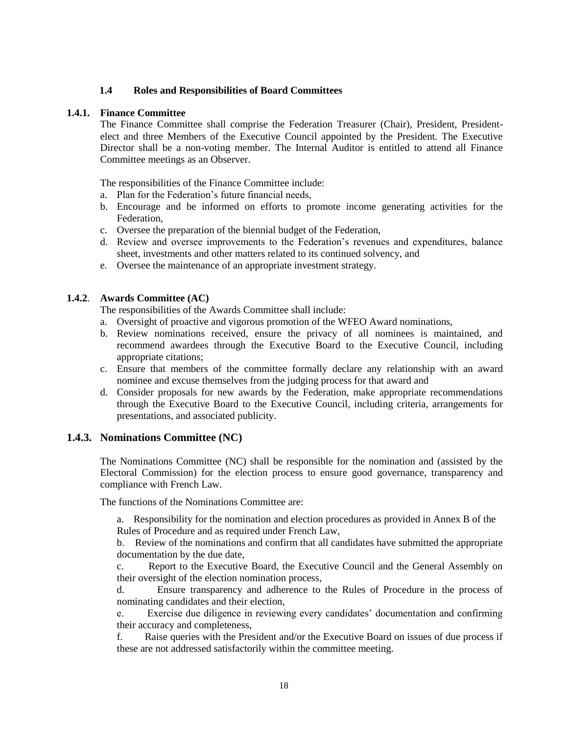#### **1.4 Roles and Responsibilities of Board Committees**

#### **1.4.1. Finance Committee**

The Finance Committee shall comprise the Federation Treasurer (Chair), President, Presidentelect and three Members of the Executive Council appointed by the President. The Executive Director shall be a non-voting member. The Internal Auditor is entitled to attend all Finance Committee meetings as an Observer.

The responsibilities of the Finance Committee include:

- a. Plan for the Federation's future financial needs,
- b. Encourage and be informed on efforts to promote income generating activities for the Federation,
- c. Oversee the preparation of the biennial budget of the Federation,
- d. Review and oversee improvements to the Federation's revenues and expenditures, balance sheet, investments and other matters related to its continued solvency, and
- e. Oversee the maintenance of an appropriate investment strategy.

#### **1.4.2**. **Awards Committee (AC)**

The responsibilities of the Awards Committee shall include:

- a. Oversight of proactive and vigorous promotion of the WFEO Award nominations,
- b. Review nominations received, ensure the privacy of all nominees is maintained, and recommend awardees through the Executive Board to the Executive Council, including appropriate citations;
- c. Ensure that members of the committee formally declare any relationship with an award nominee and excuse themselves from the judging process for that award and
- d. Consider proposals for new awards by the Federation, make appropriate recommendations through the Executive Board to the Executive Council, including criteria, arrangements for presentations, and associated publicity.

# **1.4.3. Nominations Committee (NC)**

The Nominations Committee (NC) shall be responsible for the nomination and (assisted by the Electoral Commission) for the election process to ensure good governance, transparency and compliance with French Law.

The functions of the Nominations Committee are:

a. Responsibility for the nomination and election procedures as provided in Annex B of the Rules of Procedure and as required under French Law,

b. Review of the nominations and confirm that all candidates have submitted the appropriate documentation by the due date,

c. Report to the Executive Board, the Executive Council and the General Assembly on their oversight of the election nomination process,

d. Ensure transparency and adherence to the Rules of Procedure in the process of nominating candidates and their election,

e. Exercise due diligence in reviewing every candidates' documentation and confirming their accuracy and completeness,

f. Raise queries with the President and/or the Executive Board on issues of due process if these are not addressed satisfactorily within the committee meeting.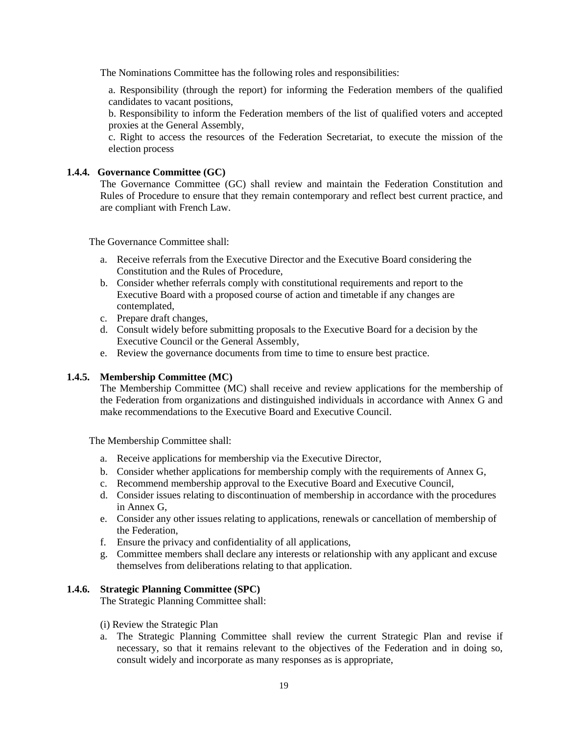The Nominations Committee has the following roles and responsibilities:

a. Responsibility (through the report) for informing the Federation members of the qualified candidates to vacant positions,

b. Responsibility to inform the Federation members of the list of qualified voters and accepted proxies at the General Assembly,

c. Right to access the resources of the Federation Secretariat, to execute the mission of the election process

#### **1.4.4. Governance Committee (GC)**

The Governance Committee (GC) shall review and maintain the Federation Constitution and Rules of Procedure to ensure that they remain contemporary and reflect best current practice, and are compliant with French Law.

The Governance Committee shall:

- a. Receive referrals from the Executive Director and the Executive Board considering the Constitution and the Rules of Procedure,
- b. Consider whether referrals comply with constitutional requirements and report to the Executive Board with a proposed course of action and timetable if any changes are contemplated,
- c. Prepare draft changes,
- d. Consult widely before submitting proposals to the Executive Board for a decision by the Executive Council or the General Assembly,
- e. Review the governance documents from time to time to ensure best practice.

# **1.4.5. Membership Committee (MC)**

The Membership Committee (MC) shall receive and review applications for the membership of the Federation from organizations and distinguished individuals in accordance with Annex G and make recommendations to the Executive Board and Executive Council.

The Membership Committee shall:

- a. Receive applications for membership via the Executive Director,
- b. Consider whether applications for membership comply with the requirements of Annex G,
- c. Recommend membership approval to the Executive Board and Executive Council,
- d. Consider issues relating to discontinuation of membership in accordance with the procedures in Annex G,
- e. Consider any other issues relating to applications, renewals or cancellation of membership of the Federation,
- f. Ensure the privacy and confidentiality of all applications,
- g. Committee members shall declare any interests or relationship with any applicant and excuse themselves from deliberations relating to that application.

#### **1.4.6. Strategic Planning Committee (SPC)**

The Strategic Planning Committee shall:

- (i) Review the Strategic Plan
- a. The Strategic Planning Committee shall review the current Strategic Plan and revise if necessary, so that it remains relevant to the objectives of the Federation and in doing so, consult widely and incorporate as many responses as is appropriate,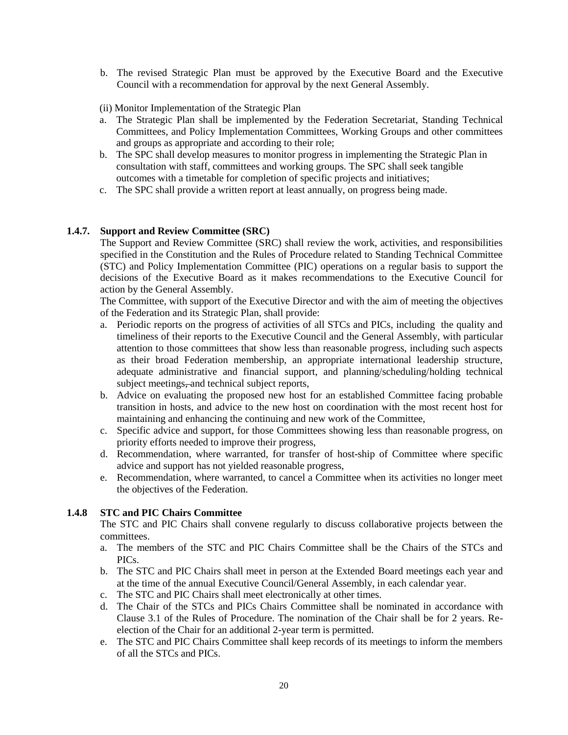b. The revised Strategic Plan must be approved by the Executive Board and the Executive Council with a recommendation for approval by the next General Assembly.

(ii) Monitor Implementation of the Strategic Plan

- a. The Strategic Plan shall be implemented by the Federation Secretariat, Standing Technical Committees, and Policy Implementation Committees, Working Groups and other committees and groups as appropriate and according to their role;
- b. The SPC shall develop measures to monitor progress in implementing the Strategic Plan in consultation with staff, committees and working groups. The SPC shall seek tangible outcomes with a timetable for completion of specific projects and initiatives;
- c. The SPC shall provide a written report at least annually, on progress being made.

# **1.4.7. Support and Review Committee (SRC)**

The Support and Review Committee (SRC) shall review the work, activities, and responsibilities specified in the Constitution and the Rules of Procedure related to Standing Technical Committee (STC) and Policy Implementation Committee (PIC) operations on a regular basis to support the decisions of the Executive Board as it makes recommendations to the Executive Council for action by the General Assembly.

The Committee, with support of the Executive Director and with the aim of meeting the objectives of the Federation and its Strategic Plan, shall provide:

- a. Periodic reports on the progress of activities of all STCs and PICs, including the quality and timeliness of their reports to the Executive Council and the General Assembly, with particular attention to those committees that show less than reasonable progress, including such aspects as their broad Federation membership, an appropriate international leadership structure, adequate administrative and financial support, and planning/scheduling/holding technical subject meetings, and technical subject reports,
- b. Advice on evaluating the proposed new host for an established Committee facing probable transition in hosts, and advice to the new host on coordination with the most recent host for maintaining and enhancing the continuing and new work of the Committee,
- c. Specific advice and support, for those Committees showing less than reasonable progress, on priority efforts needed to improve their progress,
- d. Recommendation, where warranted, for transfer of host-ship of Committee where specific advice and support has not yielded reasonable progress,
- e. Recommendation, where warranted, to cancel a Committee when its activities no longer meet the objectives of the Federation.

# **1.4.8 STC and PIC Chairs Committee**

The STC and PIC Chairs shall convene regularly to discuss collaborative projects between the committees.

- a. The members of the STC and PIC Chairs Committee shall be the Chairs of the STCs and PICs.
- b. The STC and PIC Chairs shall meet in person at the Extended Board meetings each year and at the time of the annual Executive Council/General Assembly, in each calendar year.
- c. The STC and PIC Chairs shall meet electronically at other times.
- d. The Chair of the STCs and PICs Chairs Committee shall be nominated in accordance with Clause 3.1 of the Rules of Procedure. The nomination of the Chair shall be for 2 years. Reelection of the Chair for an additional 2-year term is permitted.
- e. The STC and PIC Chairs Committee shall keep records of its meetings to inform the members of all the STCs and PICs.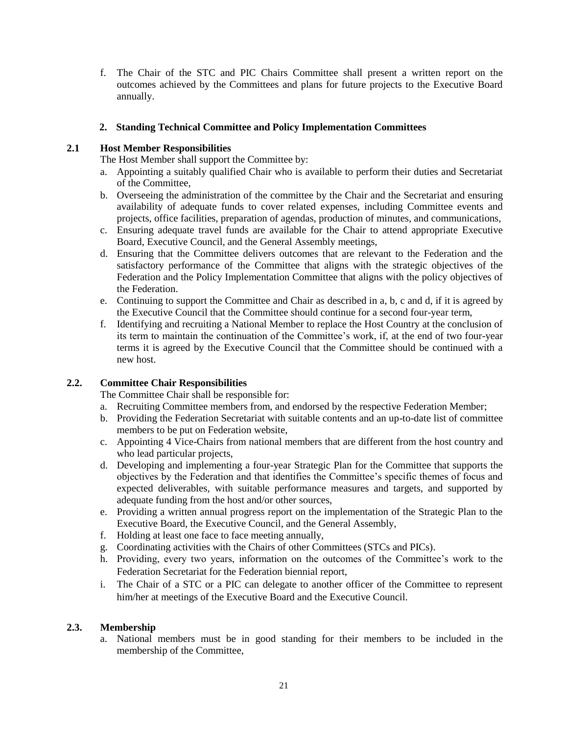f. The Chair of the STC and PIC Chairs Committee shall present a written report on the outcomes achieved by the Committees and plans for future projects to the Executive Board annually.

# **2. Standing Technical Committee and Policy Implementation Committees**

# **2.1 Host Member Responsibilities**

The Host Member shall support the Committee by:

- a. Appointing a suitably qualified Chair who is available to perform their duties and Secretariat of the Committee,
- b. Overseeing the administration of the committee by the Chair and the Secretariat and ensuring availability of adequate funds to cover related expenses, including Committee events and projects, office facilities, preparation of agendas, production of minutes, and communications,
- c. Ensuring adequate travel funds are available for the Chair to attend appropriate Executive Board, Executive Council, and the General Assembly meetings,
- d. Ensuring that the Committee delivers outcomes that are relevant to the Federation and the satisfactory performance of the Committee that aligns with the strategic objectives of the Federation and the Policy Implementation Committee that aligns with the policy objectives of the Federation.
- e. Continuing to support the Committee and Chair as described in a, b, c and d, if it is agreed by the Executive Council that the Committee should continue for a second four-year term,
- f. Identifying and recruiting a National Member to replace the Host Country at the conclusion of its term to maintain the continuation of the Committee's work, if, at the end of two four-year terms it is agreed by the Executive Council that the Committee should be continued with a new host.

# **2.2. Committee Chair Responsibilities**

The Committee Chair shall be responsible for:

- a. Recruiting Committee members from, and endorsed by the respective Federation Member;
- b. Providing the Federation Secretariat with suitable contents and an up-to-date list of committee members to be put on Federation website,
- c. Appointing 4 Vice-Chairs from national members that are different from the host country and who lead particular projects,
- d. Developing and implementing a four-year Strategic Plan for the Committee that supports the objectives by the Federation and that identifies the Committee's specific themes of focus and expected deliverables, with suitable performance measures and targets, and supported by adequate funding from the host and/or other sources,
- e. Providing a written annual progress report on the implementation of the Strategic Plan to the Executive Board, the Executive Council, and the General Assembly,
- f. Holding at least one face to face meeting annually,
- g. Coordinating activities with the Chairs of other Committees (STCs and PICs).
- h. Providing, every two years, information on the outcomes of the Committee's work to the Federation Secretariat for the Federation biennial report,
- i. The Chair of a STC or a PIC can delegate to another officer of the Committee to represent him/her at meetings of the Executive Board and the Executive Council.

# **2.3. Membership**

a. National members must be in good standing for their members to be included in the membership of the Committee,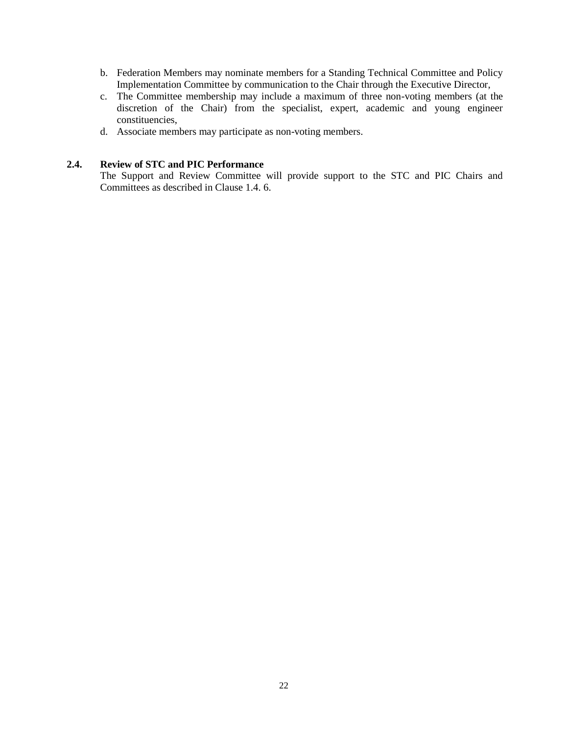- b. Federation Members may nominate members for a Standing Technical Committee and Policy Implementation Committee by communication to the Chair through the Executive Director,
- c. The Committee membership may include a maximum of three non-voting members (at the discretion of the Chair) from the specialist, expert, academic and young engineer constituencies,
- d. Associate members may participate as non-voting members.

# **2.4. Review of STC and PIC Performance**

The Support and Review Committee will provide support to the STC and PIC Chairs and Committees as described in Clause 1.4. 6.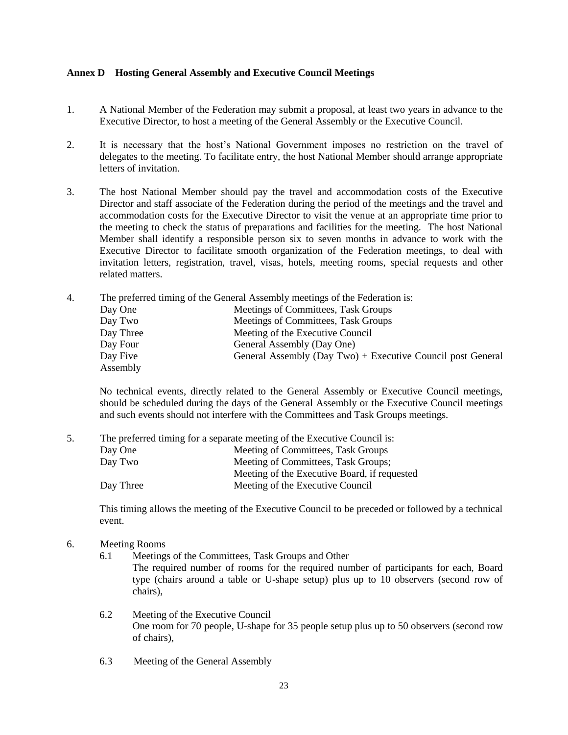#### <span id="page-22-0"></span>**Annex D Hosting General Assembly and Executive Council Meetings**

- 1. A National Member of the Federation may submit a proposal, at least two years in advance to the Executive Director, to host a meeting of the General Assembly or the Executive Council.
- 2. It is necessary that the host's National Government imposes no restriction on the travel of delegates to the meeting. To facilitate entry, the host National Member should arrange appropriate letters of invitation.
- 3. The host National Member should pay the travel and accommodation costs of the Executive Director and staff associate of the Federation during the period of the meetings and the travel and accommodation costs for the Executive Director to visit the venue at an appropriate time prior to the meeting to check the status of preparations and facilities for the meeting. The host National Member shall identify a responsible person six to seven months in advance to work with the Executive Director to facilitate smooth organization of the Federation meetings, to deal with invitation letters, registration, travel, visas, hotels, meeting rooms, special requests and other related matters.
- 4. The preferred timing of the General Assembly meetings of the Federation is:

| Day One   | Meetings of Committees, Task Groups                         |
|-----------|-------------------------------------------------------------|
| Day Two   | Meetings of Committees, Task Groups                         |
| Day Three | Meeting of the Executive Council                            |
| Day Four  | General Assembly (Day One)                                  |
| Day Five  | General Assembly (Day Two) + Executive Council post General |
| Assembly  |                                                             |

No technical events, directly related to the General Assembly or Executive Council meetings, should be scheduled during the days of the General Assembly or the Executive Council meetings and such events should not interfere with the Committees and Task Groups meetings.

|           | The preferred timing for a separate meeting of the Executive Council is: |
|-----------|--------------------------------------------------------------------------|
| Day One   | Meeting of Committees, Task Groups                                       |
| Day Two   | Meeting of Committees, Task Groups;                                      |
|           | Meeting of the Executive Board, if requested                             |
| Day Three | Meeting of the Executive Council                                         |
|           |                                                                          |

This timing allows the meeting of the Executive Council to be preceded or followed by a technical event.

- 6. Meeting Rooms
	- 6.1 Meetings of the Committees, Task Groups and Other The required number of rooms for the required number of participants for each, Board type (chairs around a table or U-shape setup) plus up to 10 observers (second row of chairs),
	- 6.2 Meeting of the Executive Council One room for 70 people, U-shape for 35 people setup plus up to 50 observers (second row of chairs),
	- 6.3 Meeting of the General Assembly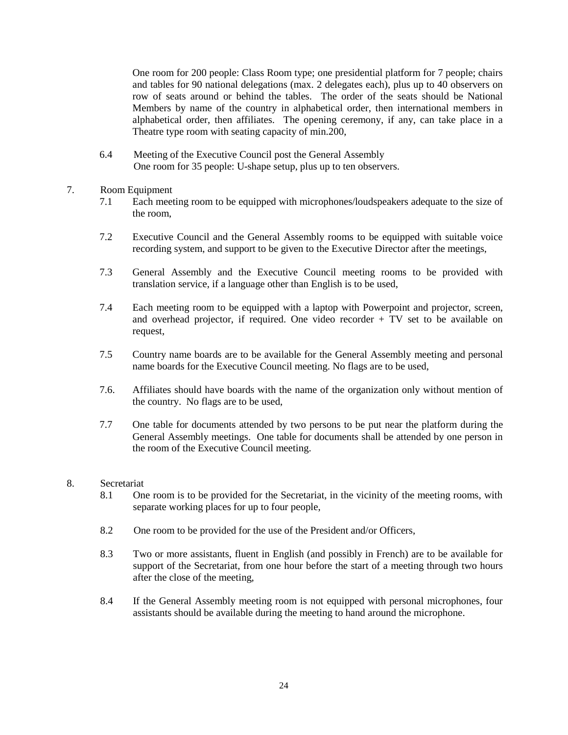One room for 200 people: Class Room type; one presidential platform for 7 people; chairs and tables for 90 national delegations (max. 2 delegates each), plus up to 40 observers on row of seats around or behind the tables. The order of the seats should be National Members by name of the country in alphabetical order, then international members in alphabetical order, then affiliates. The opening ceremony, if any, can take place in a Theatre type room with seating capacity of min.200,

6.4 Meeting of the Executive Council post the General Assembly One room for 35 people: U-shape setup, plus up to ten observers.

# 7. Room Equipment

- 7.1 Each meeting room to be equipped with microphones/loudspeakers adequate to the size of the room,
- 7.2 Executive Council and the General Assembly rooms to be equipped with suitable voice recording system, and support to be given to the Executive Director after the meetings,
- 7.3 General Assembly and the Executive Council meeting rooms to be provided with translation service, if a language other than English is to be used,
- 7.4 Each meeting room to be equipped with a laptop with Powerpoint and projector, screen, and overhead projector, if required. One video recorder + TV set to be available on request,
- 7.5 Country name boards are to be available for the General Assembly meeting and personal name boards for the Executive Council meeting. No flags are to be used,
- 7.6. Affiliates should have boards with the name of the organization only without mention of the country. No flags are to be used,
- 7.7 One table for documents attended by two persons to be put near the platform during the General Assembly meetings. One table for documents shall be attended by one person in the room of the Executive Council meeting.

# 8. Secretariat

- 8.1 One room is to be provided for the Secretariat, in the vicinity of the meeting rooms, with separate working places for up to four people,
- 8.2 One room to be provided for the use of the President and/or Officers,
- 8.3 Two or more assistants, fluent in English (and possibly in French) are to be available for support of the Secretariat, from one hour before the start of a meeting through two hours after the close of the meeting,
- 8.4 If the General Assembly meeting room is not equipped with personal microphones, four assistants should be available during the meeting to hand around the microphone.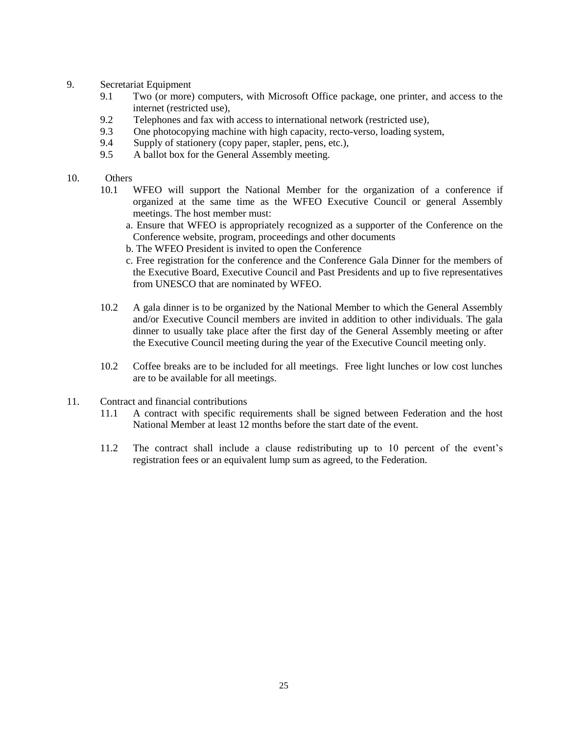#### 9. Secretariat Equipment

- 9.1 Two (or more) computers, with Microsoft Office package, one printer, and access to the internet (restricted use),
- 9.2 Telephones and fax with access to international network (restricted use),
- 9.3 One photocopying machine with high capacity, recto-verso, loading system,
- 9.4 Supply of stationery (copy paper, stapler, pens, etc.),
- 9.5 A ballot box for the General Assembly meeting.
- 10. Others
	- 10.1 WFEO will support the National Member for the organization of a conference if organized at the same time as the WFEO Executive Council or general Assembly meetings. The host member must:
		- a. Ensure that WFEO is appropriately recognized as a supporter of the Conference on the Conference website, program, proceedings and other documents
		- b. The WFEO President is invited to open the Conference
		- c. Free registration for the conference and the Conference Gala Dinner for the members of the Executive Board, Executive Council and Past Presidents and up to five representatives from UNESCO that are nominated by WFEO.
	- 10.2 A gala dinner is to be organized by the National Member to which the General Assembly and/or Executive Council members are invited in addition to other individuals. The gala dinner to usually take place after the first day of the General Assembly meeting or after the Executive Council meeting during the year of the Executive Council meeting only.
	- 10.2 Coffee breaks are to be included for all meetings. Free light lunches or low cost lunches are to be available for all meetings.
- 11. Contract and financial contributions
	- 11.1 A contract with specific requirements shall be signed between Federation and the host National Member at least 12 months before the start date of the event.
	- 11.2 The contract shall include a clause redistributing up to 10 percent of the event's registration fees or an equivalent lump sum as agreed, to the Federation.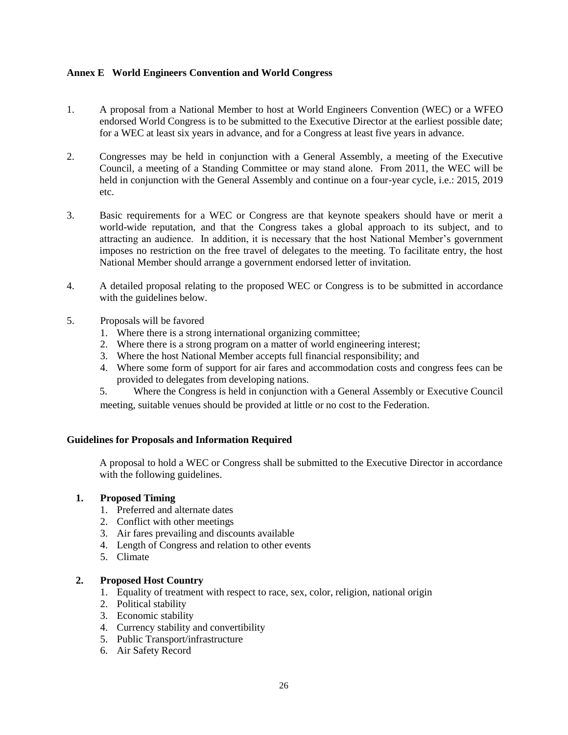# <span id="page-25-0"></span>**Annex E World Engineers Convention and World Congress**

- 1. A proposal from a National Member to host at World Engineers Convention (WEC) or a WFEO endorsed World Congress is to be submitted to the Executive Director at the earliest possible date; for a WEC at least six years in advance, and for a Congress at least five years in advance.
- 2. Congresses may be held in conjunction with a General Assembly, a meeting of the Executive Council, a meeting of a Standing Committee or may stand alone. From 2011, the WEC will be held in conjunction with the General Assembly and continue on a four-year cycle, i.e.: 2015, 2019 etc.
- 3. Basic requirements for a WEC or Congress are that keynote speakers should have or merit a world-wide reputation, and that the Congress takes a global approach to its subject, and to attracting an audience. In addition, it is necessary that the host National Member's government imposes no restriction on the free travel of delegates to the meeting. To facilitate entry, the host National Member should arrange a government endorsed letter of invitation.
- 4. A detailed proposal relating to the proposed WEC or Congress is to be submitted in accordance with the guidelines below.
- 5. Proposals will be favored
	- 1. Where there is a strong international organizing committee;
	- 2. Where there is a strong program on a matter of world engineering interest;
	- 3. Where the host National Member accepts full financial responsibility; and
	- 4. Where some form of support for air fares and accommodation costs and congress fees can be provided to delegates from developing nations.
	- 5. Where the Congress is held in conjunction with a General Assembly or Executive Council meeting, suitable venues should be provided at little or no cost to the Federation.

# **Guidelines for Proposals and Information Required**

A proposal to hold a WEC or Congress shall be submitted to the Executive Director in accordance with the following guidelines.

# **1. Proposed Timing**

- 1. Preferred and alternate dates
- 2. Conflict with other meetings
- 3. Air fares prevailing and discounts available
- 4. Length of Congress and relation to other events
- 5. Climate

# **2. Proposed Host Country**

- 1. Equality of treatment with respect to race, sex, color, religion, national origin
- 2. Political stability
- 3. Economic stability
- 4. Currency stability and convertibility
- 5. Public Transport/infrastructure
- 6. Air Safety Record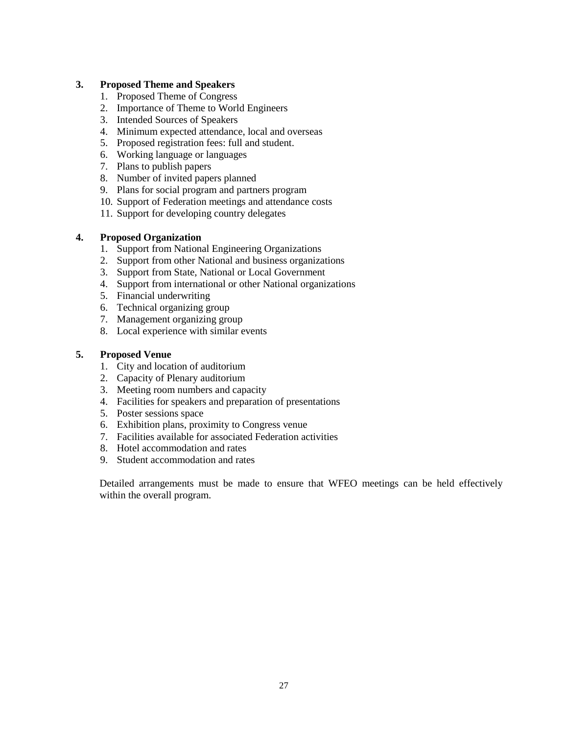# **3. Proposed Theme and Speakers**

- 1. Proposed Theme of Congress
- 2. Importance of Theme to World Engineers
- 3. Intended Sources of Speakers
- 4. Minimum expected attendance, local and overseas
- 5. Proposed registration fees: full and student.
- 6. Working language or languages
- 7. Plans to publish papers
- 8. Number of invited papers planned
- 9. Plans for social program and partners program
- 10. Support of Federation meetings and attendance costs
- 11. Support for developing country delegates

# **4. Proposed Organization**

- 1. Support from National Engineering Organizations
- 2. Support from other National and business organizations
- 3. Support from State, National or Local Government
- 4. Support from international or other National organizations
- 5. Financial underwriting
- 6. Technical organizing group
- 7. Management organizing group
- 8. Local experience with similar events

# **5. Proposed Venue**

- 1. City and location of auditorium
- 2. Capacity of Plenary auditorium
- 3. Meeting room numbers and capacity
- 4. Facilities for speakers and preparation of presentations
- 5. Poster sessions space
- 6. Exhibition plans, proximity to Congress venue
- 7. Facilities available for associated Federation activities
- 8. Hotel accommodation and rates
- 9. Student accommodation and rates

Detailed arrangements must be made to ensure that WFEO meetings can be held effectively within the overall program.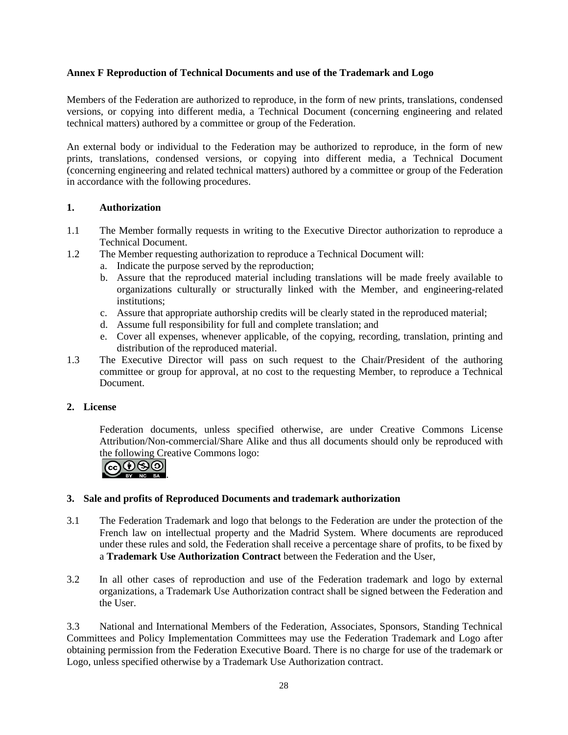# <span id="page-27-0"></span>**Annex F Reproduction of Technical Documents and use of the Trademark and Logo**

Members of the Federation are authorized to reproduce, in the form of new prints, translations, condensed versions, or copying into different media, a Technical Document (concerning engineering and related technical matters) authored by a committee or group of the Federation.

An external body or individual to the Federation may be authorized to reproduce, in the form of new prints, translations, condensed versions, or copying into different media, a Technical Document (concerning engineering and related technical matters) authored by a committee or group of the Federation in accordance with the following procedures.

# **1. Authorization**

- 1.1 The Member formally requests in writing to the Executive Director authorization to reproduce a Technical Document.
- 1.2 The Member requesting authorization to reproduce a Technical Document will:
	- a. Indicate the purpose served by the reproduction;
	- b. Assure that the reproduced material including translations will be made freely available to organizations culturally or structurally linked with the Member, and engineering-related institutions;
	- c. Assure that appropriate authorship credits will be clearly stated in the reproduced material;
	- d. Assume full responsibility for full and complete translation; and
	- e. Cover all expenses, whenever applicable, of the copying, recording, translation, printing and distribution of the reproduced material.
- 1.3 The Executive Director will pass on such request to the Chair/President of the authoring committee or group for approval, at no cost to the requesting Member, to reproduce a Technical Document.

# **2. License**

Federation documents, unless specified otherwise, are under Creative Commons License Attribution/Non-commercial/Share Alike and thus all documents should only be reproduced with the following Creative Commons logo:



# **3. Sale and profits of Reproduced Documents and trademark authorization**

- 3.1 The Federation Trademark and logo that belongs to the Federation are under the protection of the French law on intellectual property and the Madrid System. Where documents are reproduced under these rules and sold, the Federation shall receive a percentage share of profits, to be fixed by a **Trademark Use Authorization Contract** between the Federation and the User,
- 3.2 In all other cases of reproduction and use of the Federation trademark and logo by external organizations, a Trademark Use Authorization contract shall be signed between the Federation and the User.

3.3 National and International Members of the Federation, Associates, Sponsors, Standing Technical Committees and Policy Implementation Committees may use the Federation Trademark and Logo after obtaining permission from the Federation Executive Board. There is no charge for use of the trademark or Logo, unless specified otherwise by a Trademark Use Authorization contract.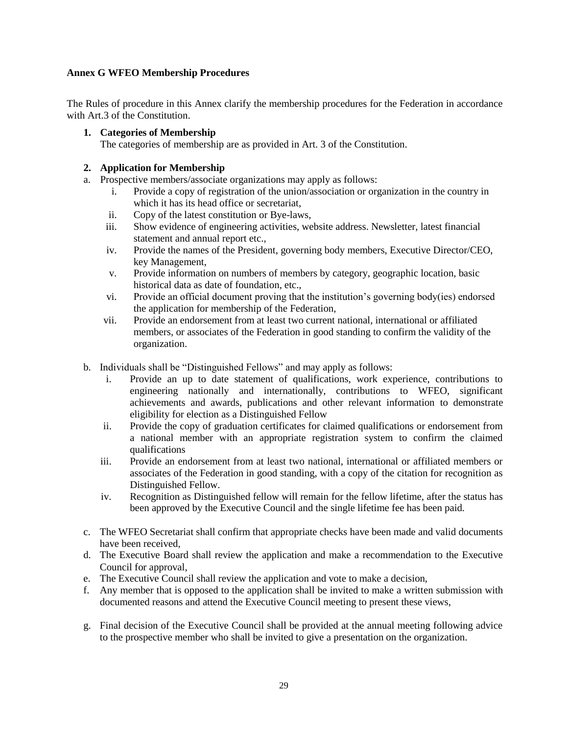# <span id="page-28-0"></span>**Annex G WFEO Membership Procedures**

The Rules of procedure in this Annex clarify the membership procedures for the Federation in accordance with Art.3 of the Constitution.

# **1. Categories of Membership**

The categories of membership are as provided in Art. 3 of the Constitution.

#### **2. Application for Membership**

- a. Prospective members/associate organizations may apply as follows:
	- i. Provide a copy of registration of the union/association or organization in the country in which it has its head office or secretariat,
	- ii. Copy of the latest constitution or Bye-laws,
	- iii. Show evidence of engineering activities, website address. Newsletter, latest financial statement and annual report etc.,
	- iv. Provide the names of the President, governing body members, Executive Director/CEO, key Management,
	- v. Provide information on numbers of members by category, geographic location, basic historical data as date of foundation, etc.,
	- vi. Provide an official document proving that the institution's governing body(ies) endorsed the application for membership of the Federation,
	- vii. Provide an endorsement from at least two current national, international or affiliated members, or associates of the Federation in good standing to confirm the validity of the organization.
- b. Individuals shall be "Distinguished Fellows" and may apply as follows:
	- i. Provide an up to date statement of qualifications, work experience, contributions to engineering nationally and internationally, contributions to WFEO, significant achievements and awards, publications and other relevant information to demonstrate eligibility for election as a Distinguished Fellow
	- ii. Provide the copy of graduation certificates for claimed qualifications or endorsement from a national member with an appropriate registration system to confirm the claimed qualifications
	- iii. Provide an endorsement from at least two national, international or affiliated members or associates of the Federation in good standing, with a copy of the citation for recognition as Distinguished Fellow.
	- iv. Recognition as Distinguished fellow will remain for the fellow lifetime, after the status has been approved by the Executive Council and the single lifetime fee has been paid.
- c. The WFEO Secretariat shall confirm that appropriate checks have been made and valid documents have been received,
- d. The Executive Board shall review the application and make a recommendation to the Executive Council for approval,
- e. The Executive Council shall review the application and vote to make a decision,
- f. Any member that is opposed to the application shall be invited to make a written submission with documented reasons and attend the Executive Council meeting to present these views,
- g. Final decision of the Executive Council shall be provided at the annual meeting following advice to the prospective member who shall be invited to give a presentation on the organization.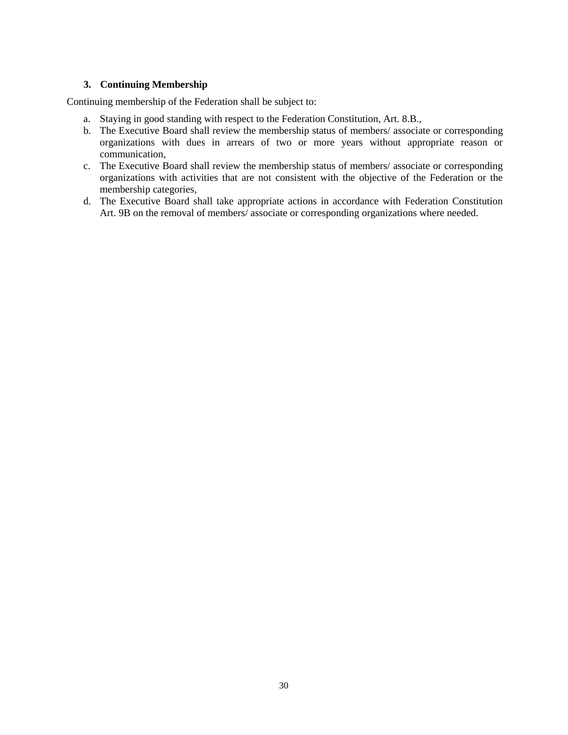# **3. Continuing Membership**

Continuing membership of the Federation shall be subject to:

- a. Staying in good standing with respect to the Federation Constitution, Art. 8.B.,
- b. The Executive Board shall review the membership status of members/ associate or corresponding organizations with dues in arrears of two or more years without appropriate reason or communication,
- c. The Executive Board shall review the membership status of members/ associate or corresponding organizations with activities that are not consistent with the objective of the Federation or the membership categories,
- d. The Executive Board shall take appropriate actions in accordance with Federation Constitution Art. 9B on the removal of members/ associate or corresponding organizations where needed.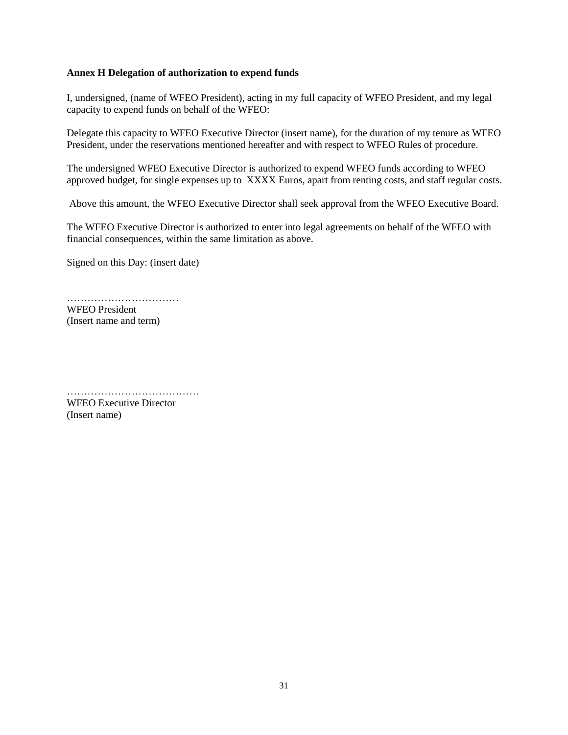#### <span id="page-30-0"></span>**Annex H Delegation of authorization to expend funds**

I, undersigned, (name of WFEO President), acting in my full capacity of WFEO President, and my legal capacity to expend funds on behalf of the WFEO:

Delegate this capacity to WFEO Executive Director (insert name), for the duration of my tenure as WFEO President, under the reservations mentioned hereafter and with respect to WFEO Rules of procedure.

The undersigned WFEO Executive Director is authorized to expend WFEO funds according to WFEO approved budget, for single expenses up to XXXX Euros, apart from renting costs, and staff regular costs.

Above this amount, the WFEO Executive Director shall seek approval from the WFEO Executive Board.

The WFEO Executive Director is authorized to enter into legal agreements on behalf of the WFEO with financial consequences, within the same limitation as above.

Signed on this Day: (insert date)

…………………………… WFEO President (Insert name and term)

…………………………………

WFEO Executive Director (Insert name)